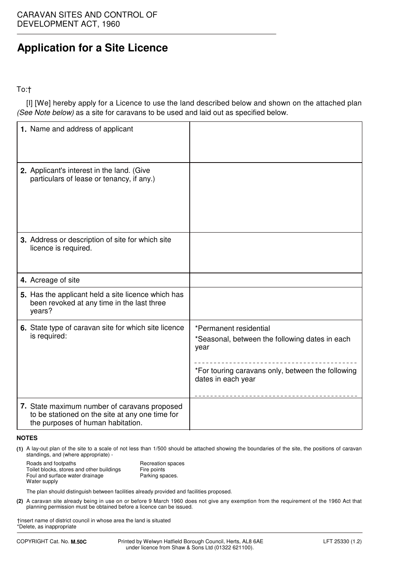## **Application for a Site Licence**

## To:†

[I] [We] hereby apply for a Licence to use the land described below and shown on the attached plan (See Note below) as a site for caravans to be used and laid out as specified below.

| 1. Name and address of applicant                                                                                                     |                                                                                                                                                             |
|--------------------------------------------------------------------------------------------------------------------------------------|-------------------------------------------------------------------------------------------------------------------------------------------------------------|
| 2. Applicant's interest in the land. (Give<br>particulars of lease or tenancy, if any.)                                              |                                                                                                                                                             |
| 3. Address or description of site for which site<br>licence is required.                                                             |                                                                                                                                                             |
| 4. Acreage of site                                                                                                                   |                                                                                                                                                             |
| 5. Has the applicant held a site licence which has<br>been revoked at any time in the last three<br>years?                           |                                                                                                                                                             |
| 6. State type of caravan site for which site licence<br>is required:                                                                 | *Permanent residential<br>*Seasonal, between the following dates in each<br>year<br>*For touring caravans only, between the following<br>dates in each year |
| 7. State maximum number of caravans proposed<br>to be stationed on the site at any one time for<br>the purposes of human habitation. |                                                                                                                                                             |

## **NOTES**

**(1)** A lay-out plan of the site to a scale of not less than 1/500 should be attached showing the boundaries of the site, the positions of caravan standings, and (where appropriate) -

| Roads and footpaths                       |  |
|-------------------------------------------|--|
| Toilet blocks, stores and other buildings |  |
| Foul and surface water drainage           |  |
| Water supply                              |  |

Recreation spaces Fire points Parking spaces.

The plan should distinguish between facilities already provided and facilities proposed.

**(2)** A caravan site already being in use on or before 9 March 1960 does not give any exemption from the requirement of the 1960 Act that planning permission must be obtained before a licence can be issued.

†insert name of district council in whose area the land is situated \*Delete, as inappropriate